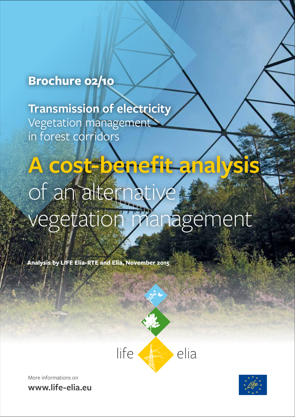## **Brochure 02/10**

**Transmission of electricity** Vegetation management in forest corridors

# **A cost-benefit analysis**  of an alternative vegetation management

A cost-benefit analysis of an alternative vegetation management **1**

**Analysis by LIFE Elia-RTE and Elia, November 2015**



More informations on **www.life-elia.eu**

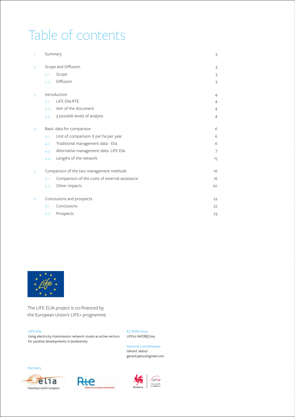## Table of contents

| 1. | Summary                                                | $\overline{3}$ |
|----|--------------------------------------------------------|----------------|
| 2. | Scope and Diffusion                                    | $\overline{3}$ |
|    | Scope<br>2.1.                                          | 3              |
|    | Diffusion<br>2.2.                                      | 3              |
| 3. | Introduction                                           | $\overline{4}$ |
|    | <b>LIFE Elia-RTE</b><br>3.1.                           | $\overline{4}$ |
|    | Aim of the document<br>3.2.                            | 4              |
|    | 3 possible levels of analysis<br>3.3.                  | $\overline{4}$ |
| 4. | Basic data for comparison                              | 6              |
|    | Unit of comparison: € per ha per year<br>4.1.          | 6              |
|    | Traditional management data - Elia<br>4.2.             | 6              |
|    | Alternative management data- LIFE Elia<br>4.3.         | 7              |
|    | Lengths of the network<br>4.4.                         | 15             |
| 5. | Comparison of the two management methods               | 16             |
|    | Comparison of the costs of external assistance<br>5.1. | 16             |
|    | Other impacts<br>5,2.                                  | 20             |
| 6. | Conclusions and prospects                              | 22             |
|    | Conclusions<br>6.1.                                    | 22             |
|    | Prospects<br>6.2.                                      | 23             |



The LIFE ELIA project is co-financed by the European Union's LIFE+ programme.

#### **LIFE Elia**

Using electricity transmission network routes as active vectors for positive developments in biodiversity

**EC Reference** LIFE10 NAT/BE/709

**General Coordination** Gérard Jadoul gerard.jadoul@gmail.com

SPW

Service public<br>de Wallonie







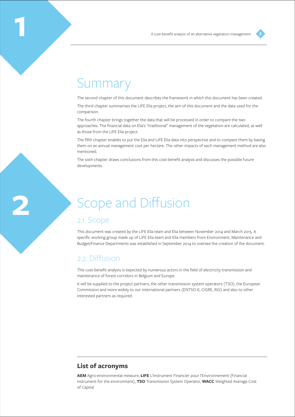## Summary

**1**

**2**

The second chapter of this document describes the framework in which this document has been created.

The third chapter summarises the LIFE Elia project, the aim of this document and the data used for the comparison.

The fourth chapter brings together the data that will be processed in order to compare the two approaches. The financial data on Elia's "traditional" management of the vegetation are calculated, as well as those from the LIFE Elia project.

The fifth chapter enables to put the Elia and LIFE Elia data into perspective and to compare them by basing them on an annual management cost per hectare. The other impacts of each management method are also mentioned.

The sixth chapter draws conclusions from this cost-benefit analysis and discusses the possible future developments.

## Scope and Diffusion

## 2.1. Scope

This document was created by the LIFE Elia team and Elia between November 2014 and March 2015. A specific working group made up of LIFE Elia team and Elia members from Environment, Maintenance and Budget/Finance Departments was established in September 2014 to oversee the creation of the document.

## 2.2. Diffusion

This cost-benefit analysis is expected by numerous actors in the field of electricity transmission and maintenance of forest corridors in Belgium and Europe.

It will be supplied to the project partners, the other transmission system operators (TSO), the European Commission and more widely to our international partners (ENTSO-E, CIGRE, RGI) and also to other interested partners as required.

## **List of acronyms**

**AEM** Agro-environmental measure, **LIFE** L'Instrument Financier pour l'Environnement (Financial instrument for the environment), **TSO** Transmission System Operator, **WACC** Weighted Average Cost of Capital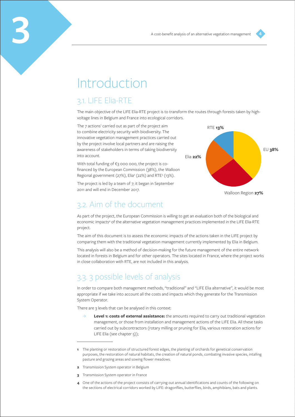## Introduction

## 3.1. LIFE Elia-RTE

The main objective of the LIFE Elia-RTE project is to transform the routes through forests taken by highvoltage lines in Belgium and France into ecological corridors.

The 7 actions<sup>1</sup> carried out as part of the project aim to combine electricity security with biodiversity. The innovative vegetation management practices carried out by the project involve local partners and are raising the awareness of stakeholders in terms of taking biodiversity into account.

With total funding of €3 000 000, the project is cofinanced by the European Commission (38%), the Walloon Regional government (27%), Elia<sup>2</sup> (22%) and RTE<sup>3</sup> (13%).

The project is led by a team of 7; it began in September 2011 and will end in December 2017.



Walloon Region **27%**

## 3.2. Aim of the document

As part of the project, the European Commission is willing to get an evaluation both of the biological and economic impacts<sup>4</sup> of the alternative vegetation management practices implemented in the LIFE Elia-RTE project.

The aim of this document is to assess the economic impacts of the actions taken in the LIFE project by comparing them with the traditional vegetation management currently implemented by Elia in Belgium.

This analysis will also be a method of decision-making for the future management of the entire network located in forests in Belgium and for other operators. The sites located in France, where the project works in close collaboration with RTE, are not included in this analysis.

## 3.3. 3 possible levels of analysis

In order to compare both management methods, "traditional" and "LIFE Elia alternative", it would be most appropriate if we take into account all the costs and impacts which they generate for the Transmission System Operator.

There are 3 levels that can be analysed in this context:

Level 1: costs of external assistance: the amounts required to carry out traditional vegetation management, or those from installation and management actions of the LIFE Elia. All these tasks carried out by subcontractors (rotary milling or pruning for Elia, various restoration actions for LIFE Elia (see chapter 5));

- **3** Transmission System operator in France
- **4** One of the actions of the project consists of carrying out annual identifications and counts of the following on the sections of electrical corridors worked by LIFE: dragonflies, butterflies, birds, amphibians, bats and plants.

**<sup>1</sup>** The planting or restoration of structured forest edges, the planting of orchards for genetical conservation purposes, the restoration of natural habitats, the creation of natural ponds, combating invasive species, intalling pasture and grazing areas and sowing flower meadows.

**<sup>2</sup>** Transmission System operator in Belgium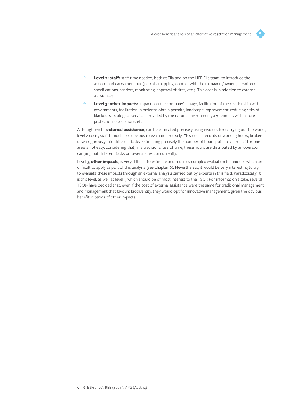- 
- ȝ **Level 2: staff:** staff time needed, both at Elia and on the LIFE Elia team, to introduce the actions and carry them out (patrols, mapping, contact with the managers/owners, creation of specifications, tenders, monitoring, approval of sites, etc.). This cost is in addition to external assistance;
- ȝ **Level 3: other impacts:** impacts on the company's image, facilitation of the relationship with governments, facilitation in order to obtain permits, landscape improvement, reducing risks of blackouts, ecological services provided by the natural environment, agreements with nature protection associations, etc.

Although level 1, **external assistance**, can be estimated precisely using invoices for carrying out the works, level 2 costs, staff is much less obvious to evaluate precisely. This needs records of working hours, broken down rigorously into different tasks. Estimating precisely the number of hours put into a project for one area is not easy, considering that, in a traditional use of time, these hours are distributed by an operator carrying out different tasks on several sites concurrently.

Level 3, **other impacts**, is very difficult to estimate and requires complex evaluation techniques which are difficult to apply as part of this analysis (see chapter 6). Nevertheless, it would be very interesting to try to evaluate these impacts through an external analysis carried out by experts in this field. Paradoxically, it is this level, as well as level 1, which should be of most interest to the TSO ! For information's sake, several TSOs<sup>5</sup> have decided that, even if the cost of external assistance were the same for traditional management and management that favours biodiversity, they would opt for innovative management, given the obvious benefit in terms of other impacts.

**<sup>5</sup>** RTE (France), REE (Spain), APG (Austria)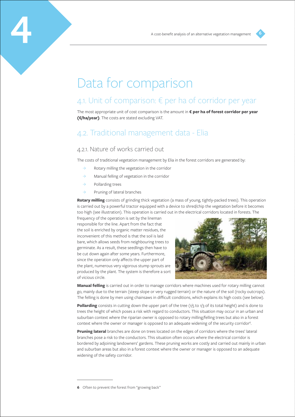

## Data for comparison

## 4.1. Unit of comparison: € per ha of corridor per year

The most appropriate unit of cost comparison is the amount in **€ per ha of forest corridor per year (€/ha/year)**. The costs are stated excluding VAT.

## 4.2. Traditional management data - Elia

## 4.2.1. Nature of works carried out

The costs of traditional vegetation management by Elia in the forest corridors are generated by:

- $\rightarrow$  Rotary milling the vegetation in the corridor
- $\rightarrow$  Manual felling of vegetation in the corridor
- $\rightarrow$  Pollarding trees
- $\rightarrow$  Pruning of lateral branches

**Rotary milling** consists of grinding thick vegetation (a mass of young, tightly-packed trees). This operation is carried out by a powerful tractor equipped with a device to shred/chip the vegetation before it becomes too high (see illustration). This operation is carried out in the electrical corridors located in forests. The

frequency of the operation is set by the lineman responsible for the line. Apart from the fact that the soil is enriched by organic matter residues, the inconvenient of this method is that the soil is laid bare, which allows seeds from neighbouring trees to germinate. As a result, these seedlings then have to be cut down again after some years. Furthermore, since the operation only affects the upper part of the plant, numerous very vigorous stump sprouts are produced by the plant. The system is therefore a sort of vicious circle.



**Manual felling** is carried out in order to manage corridors where machines used for rotary milling cannot go, mainly due to the terrain (steep slope or very rugged terrain) or the nature of the soil (rocky outcrops). The felling is done by men using chainsaws in difficult conditions, which explains its high costs (see below).

**Pollarding** consists in cutting down the upper part of the tree (1/5 to 1/3 of its total height) and is done to trees the height of which poses a risk with regard to conductors. This situation may occur in an urban and suburban context where the riparian owner is opposed to rotary milling/felling trees but also in a forest context where the owner or manager is opposed to an adequate widening of the security corridor<sup>6</sup>. .<br>.

**Pruning lateral** branches are done on trees located on the edges of corridors where the trees' lateral branches pose a risk to the conductors. This situation often occurs where the electrical corridor is bordered by adjoining landowners' gardens. These pruning works are costly and carried out mainly in urban and suburban areas but also in a forest context where the owner or manager is opposed to an adequate widening of the safety corridor.

**<sup>6</sup>** Often to prevent the forest from "growing back"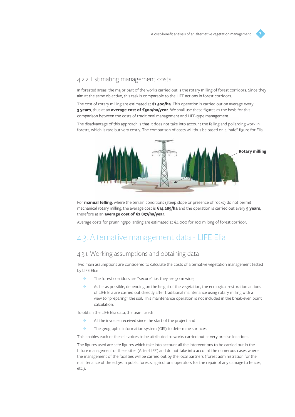## 4.2.2. Estimating management costs

In forested areas, the major part of the works carried out is the rotary milling of forest corridors. Since they aim at the same objective, this task is comparable to the LIFE actions in forest corridors.

The cost of rotary milling are estimated at **€1 500/ha**. This operation is carried out on average every **3 years**, thus at an **average cost of €500/ha/year**. We shall use these figures as the basis for this comparison between the costs of traditional management and LIFE-type management.

The disadvantage of this approach is that it does not take into account the felling and pollarding work in forests, which is rare but very costly. The comparison of costs will thus be based on a "safe" figure for Elia.



For **manual felling**, where the terrain conditions (steep slope or presence of rocks) do not permit mechanical rotary milling, the average cost is **€14 285/ha** and the operation is carried out every **5 years**, therefore at an **average cost of €2 857/ha/year**.

Average costs for prunning/pollarding are estimated at €4 000 for 100 m long of forest corridor.

## 4.3. Alternative management data - LIFE Elia

## 4.3.1. Working assumptions and obtaining data

Two main assumptions are considered to calculate the costs of alternative vegetation management tested by LIFE Elia:

- $\rightarrow$  The forest corridors are "secure": i.e. they are 50 m wide;
- $\rightarrow$  As far as possible, depending on the height of the vegetation, the ecological restoration actions of LIFE Elia are carried out directly after traditional maintenance using rotary milling with a view to "preparing" the soil. This maintenance operation is not included in the break-even point calculation.

To obtain the LIFE Elia data, the team used:

- $\rightarrow$  All the invoices received since the start of the project and
- $\rightarrow$  The geographic information system (GIS) to determine surfaces

This enables each of these invoices to be attributed to works carried out at very precise locations.

The figures used are safe figures which take into account all the interventions to be carried out in the future management of these sites (After-LIFE) and do not take into account the numerous cases where the management of the facilities will be carried out by the local partners (forest administration for the maintenance of the edges in public forests, agricultural operators for the repair of any damage to fences, etc.).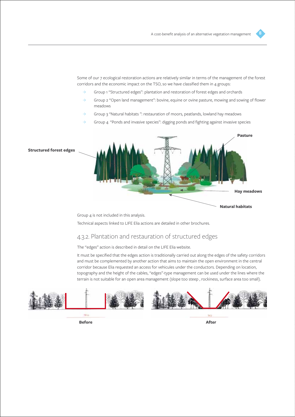Some of our 7 ecological restoration actions are relatively similar in terms of the management of the forest corridors and the economic impact on the TSO, so we have classified them in 4 groups:

- $\rightarrow$  Group 1 "Structured edges": plantation and restoration of forest edges and orchards
- $\rightarrow$  Group 2 "Open land management": bovine, equine or ovine pasture, mowing and sowing of flower meadows
- $\rightarrow$  Group 3 "Natural habitats": restauration of moors, peatlands, lowland hay meadows
- Group 4 "Ponds and invasive species": digging ponds and fighting against invasive species



Group 4 is not included in this analysis.

Technical aspects linked to LIFE Elia actions are detailed in other brochures.

## 4.3.2. Plantation and restauration of structured edges

The "edges" action is described in detail on the LIFE Elia website.

It must be specified that the edges action is traditionally carried out along the edges of the safety corridors and must be complemented by another action that aims to maintain the open environment in the central corridor because Elia requested an access for vehicules under the conductors. Depending on location, topography and the height of the cables, "edges"-type management can be used under the lines where the terrain is not suitable for an open area management (slope too steep , rockiness, surface area too small).



**Before After**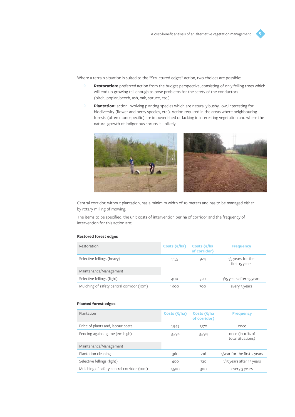Where a terrain situation is suited to the "Structured edges" action, two choices are possible:

- ȝ **Restoration:** preferred action from the budget perspective, consisting of only felling trees which will end up growing tall enough to pose problems for the safety of the conductors (birch, poplar, beech, ash, oak, spruce, etc.).
- ȝ **Plantation:** action involving planting species which are naturally bushy, low, interesting for biodiversity (flower and berry species, etc.). Action required in the areas where neighbouring forests (often monospecific) are impoverished or lacking in interesting vegetation and where the natural growth of indigenous shrubs is unlikely.



Central corridor, without plantation, has a minimim width of 10 meters and has to be managed either by rotary milling of mowing.

The items to be specified, the unit costs of intervention per ha of corridor and the frequency of intervention for this action are:

#### **Restored forest edges**

| Restoration                               | Costs $(\epsilon/ha)$ | Costs ( $\varepsilon$ /ha<br>of corridor) | <b>Frequency</b>                      |
|-------------------------------------------|-----------------------|-------------------------------------------|---------------------------------------|
| Selective fellings (heavy)                | 1,155                 | 924                                       | $1/5$ years for the<br>first 15 years |
| Maintenance/Management                    |                       |                                           |                                       |
| Selective fellings (light)                | 400                   | 320                                       | 1/15 years after 15 years             |
| Mulching of safety central corridor (10m) | 1,500                 | 300                                       | every 3 years                         |

#### **Planted forest edges**

| Plantation                                | Costs $(\epsilon/ha)$ | Costs $(\epsilon/\hbar a)$<br>of corridor) | <b>Frequency</b>                     |
|-------------------------------------------|-----------------------|--------------------------------------------|--------------------------------------|
| Price of plants and, labour costs         | 1,949                 | 1,170                                      | once                                 |
| Fencing against game (2m high)            | 3,794                 | 3,794                                      | once (in 10% of<br>total situations) |
| Maintenance/Management                    |                       |                                            |                                      |
| Plantation cleaning                       | 360                   | 216                                        | 1/year for the first 2 years         |
| Selective fellings (light)                | 400                   | 320                                        | 1/15 years after 15 years            |
| Mulching of safety central corridor (10m) | 1,500                 | 300                                        | every 3 years                        |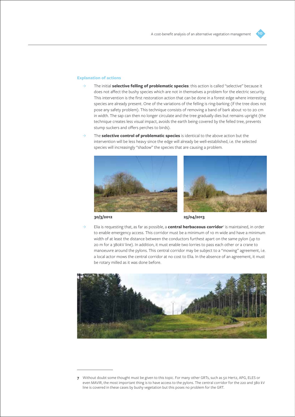#### **Explanation of actions**

- ȝ The initial **selective felling of problematic species**: this action is called "selective" because it does not affect the bushy species which are not in themselves a problem for the electric security. This intervention is the first restoration action that can be done in a forest edge where interesting species are already present. One of the variations of the felling is ring-barking (if the tree does not pose any safety problem). This technique consists of removing a band of bark about 10 to 20 cm in width. The sap can then no longer circulate and the tree gradually dies but remains upright (the technique creates less visual impact, avoids the earth being covered by the felled tree, prevents stump suckers and offers perches to birds).
- ȝ The **selective control of problematic species** is identical to the above action but the intervention will be less heavy since the edge will already be well-established, i.e. the selected species will increasingly "shadow" the species that are causing a problem.





**30/3/2012 25/04/2013**

ȝ Elia is requesting that, as far as possible, a **central herbaceous corridor**<sup>7</sup> is maintained, in order to enable emergency access. This corridor must be a minimum of 10 m wide and have a minimum width of at least the distance between the conductors furthest apart on the same pylon (up to 20 m for a 380kV line). In addition, it must enable two lorries to pass each other or a crane to manoeuvre around the pylons. This central corridor may be subject to a "mowing" agreement, i.e. a local actor mows the central corridor at no cost to Elia. In the absence of an agreement, it must be rotary milled as it was done before.





**<sup>7</sup>** Without doubt some thought must be given to this topic. For many other GRTs, such as 50 Hertz, APG, ELES or even MAVIR, the most important thing is to have access to the pylons. The central corridor for the 220 and 380 kV line is covered in these cases by bushy vegetation but this poses no problem for the GRT.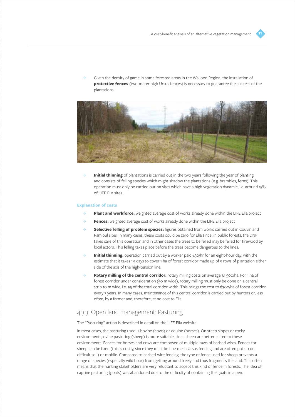

ȝ Given the density of game in some forested areas in the Walloon Region, the installation of **protective fences** (two-meter high Ursus fences) is necessary to guarantee the success of the plantations.



**Initial thinning** of plantations is carried out in the two years following the year of planting and consists of felling species which might shadow the plantations (e.g. brambles, ferns). This operation must only be carried out on sites which have a high vegetation dynamic, i.e. around 15% of LIFE Elia sites.

#### **Explanation of costs**

- ȝ **Plant and workforce:** weighted average cost of works already done within the LIFE Elia project
- ȝ **Fences:** weighted average cost of works already done within the LIFE Elia project
- ȝ **Selective felling of problem species:** figures obtained from works carried out in Couvin and Ramioul sites. In many cases, these costs could be zero for Elia since, in public forests, the DNF takes care of this operation and in other cases the trees to be felled may be felled for firewood by local actors. This felling takes place before the trees become dangerous to the lines.
- ȝ **Initial thinning:** operation carried out by a worker paid €30/hr for an eight-hour day, with the estimate that it takes 1.5 days to cover 1 ha of forest corridor made up of 5 rows of plantation either side of the axis of the high-tension line.
- **Rotary milling of the central corridor:** rotary milling costs on average €1 500/ha. For 1 ha of forest corridor under consideration (50 m wide), rotary milling must only be done on a central strip 10 m wide, i.e. 1/5 of the total corridor width. This brings the cost to €300/ha of forest corridor every 3 years. In many cases, maintenance of this central corridor is carried out by hunters or, less often, by a farmer and, therefore, at no cost to Elia.

## 4.3.3. Open land management: Pasturing

The "Pasturing" action is described in detail on the LIFE Elia website.

In most cases, the pasturing used is bovine (cows) or equine (horses). On steep slopes or rocky environments, ovine pasturing (sheep) is more suitable, since sheep are better suited to these environments. Fences for horses and cows are composed of multiple raws of barbed wires. Fences for sheep can be fixed (this is costly, since they must be fine-mesh Ursus fencing and are often put up on difficult soil) or mobile. Compared to barbed-wire fencing, the type of fence used for sheep prevents a range of species (especially wild boar) from getting around freely and thus fragments the land. This often means that the hunting stakeholders are very reluctant to accept this kind of fence in forests. The idea of caprine pasturing (goats) was abandoned due to the difficulty of containing the goats in a pen.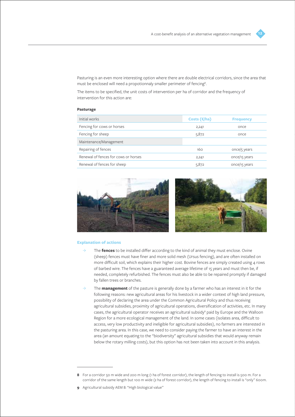

Pasturing is an even more interesting option where there are double electrical corridors, since the area that must be enclosed will need a propotionnaly smaller perimeter of fencing<sup>8</sup>. .

The items to be specified, the unit costs of intervention per ha of corridor and the frequency of intervention for this action are:

#### **Pasturage**

| Initial works                        | Costs $(\epsilon/ha)$ | <b>Frequency</b> |
|--------------------------------------|-----------------------|------------------|
| Fencing for cows or horses           | 2,241                 | once             |
| Fencing for sheep                    | 5,872                 | once             |
| Maintenance/Management               |                       |                  |
| Repairing of fences                  | 160                   | once/5 years     |
| Renewal of fences for cows or horses | 2,241                 | once/15 years    |
| Renewal of fences for sheep          | 5,872                 | once/15 years    |



#### **Explanation of actions**

- ȝ The **fences** to be installed differ according to the kind of animal they must enclose. Ovine (sheep) fences must have finer and more solid mesh (Ursus fencing), and are often installed on more difficult soil, which explains their higher cost. Bovine fences are simply created using 4 rows of barbed wire. The fences have a guaranteed average lifetime of 15 years and must then be, if needed, completely refurbished. The fences must also be able to be repaired promptly if damaged by fallen trees or branches.
- ȝ The **management** of the pasture is generally done by a farmer who has an interest in it for the following reasons: new agricultural areas for his livestock in a wider context of high land pressure, possibility of declaring the area under the Common Agricultural Policy and thus receiving agricultural subsidies, proximity of agricultural operations, diversification of activities, etc. In many cases, the agricultural operator receives an agricultural subsidy<sup>9</sup> paid by Europe and the Walloon Region for a more ecological management of the land. In some cases (isolates area, difficult to access, very low productivity and ineligible for agricultural subsidies), no farmers are interested in the pasturing area. In this case, we need to consider paying the farmer to have an interest in the area (an amount equating to the "biodiversity" agricultural subsidies that would anyway remain below the rotary milling costs), but this option has not been taken into account in this analysis.

**<sup>8</sup>** For a corridor 50 m wide and 200 m long (1 ha of forest corridor), the length of fencing to install is 500 m. For a corridor of the same length but 100 m wide (2 ha of forest corridor), the length of fencing to install is "only" 600m.

**<sup>9</sup>** Agricultural subsidy AEM 8: "High biological value"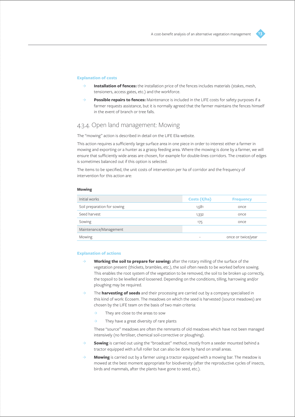#### **Explanation of costs**

- **Installation of fences:** the installation price of the fences includes materials (stakes, mesh, tensioners, access gates, etc.) and the workforce.
- **Possible repairs to fences:** Maintenance is included in the LIFE costs for safety purposes if a farmer requests assistance, but it is normally agreed that the farmer maintains the fences himself in the event of branch or tree falls.

### 4.3.4. Open land management: Mowing

The "mowing" action is described in detail on the LIFE Elia website.

This action requires a sufficiently large surface area in one piece in order to interest either a farmer in mowing and exporting or a hunter as a grassy feeding area. Where the mowing is done by a farmer, we will ensure that sufficiently wide areas are chosen, for example for double-lines corridors. The creation of edges is sometimes balanced out if this option is selected.

The items to be specified, the unit costs of intervention per ha of corridor and the frequency of intervention for this action are:

| Initial works               | Costs $(\epsilon/ha)$ | <b>Frequency</b>   |
|-----------------------------|-----------------------|--------------------|
| Soil preparation for sowing | 1,581                 | once               |
| Seed harvest                | 1,332                 | once               |
| Sowing                      | 175                   | once               |
| Maintenance/Management      |                       |                    |
| Mowing                      | ۰                     | once or twice/year |

#### **Mowing**

#### **Explanation of actions**

- ȝ **Working the soil to prepare for sowing:** after the rotary milling of the surface of the vegetation present (thickets, brambles, etc.), the soil often needs to be worked before sowing. This enables the root system of the vegetation to be removed, the soil to be broken up correctly, the topsoil to be levelled and loosened. Depending on the conditions, tilling, harrowing and/or ploughing may be required.
- ȝ The **harvesting of seeds** and their processing are carried out by a company specialised in this kind of work: Ecosem. The meadows on which the seed is harvested (source meadows) are chosen by the LIFE team on the basis of two main criteria:
	- They are close to the areas to sow
	- They have a great diversity of rare plants

These "source" meadows are often the remnants of old meadows which have not been managed intensively (no fertiliser, chemical soil-corrective or ploughing).

- **Sowing** is carried out using the "broadcast" method, mostly from a seeder mounted behind a tractor equipped with a full roller but can also be done by hand on small areas.
- $\rightarrow$  **Mowing** is carried out by a farmer using a tractor equipped with a mowing bar. The meadow is mowed at the best moment appropriate for biodiversity (after the reproductive cycles of insects, birds and mammals, after the plants have gone to seed, etc.).

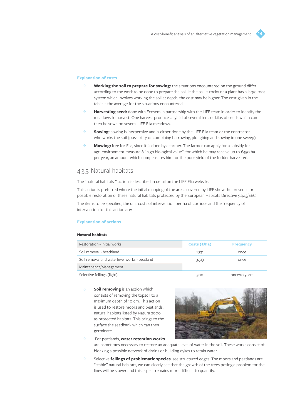#### **Explanation of costs**

- ȝ **Working the soil to prepare for sowing:** the situations encountered on the ground differ according to the work to be done to prepare the soil. If the soil is rocky or a plant has a large root system which involves working the soil at depth, the cost may be higher. The cost given in the table is the average for the situations encountered.
- ȝ **Harvesting seed:** done with Ecosem in partnership with the LIFE team in order to identify the meadows to harvest. One harvest produces a yield of several tens of kilos of seeds which can then be sown on several LIFE Elia meadows.
- **Sowing:** sowing is inexpensive and is either done by the LIFE Elia team or the contractor who works the soil (possibility of combining harrowing, ploughing and sowing in one sweep).
- ȝ **Mowing:** free for Elia, since it is done by a farmer. The farmer can apply for a subsidy for agri-environment measure 8 "high biological value", for which he may receive up to €450 ha per year, an amount which compensates him for the poor yield of the fodder harvested.

### 4.3.5. Natural habitats

The "natural habitats " action is described in detail on the LIFE Elia website.

This action is preferred where the initial mapping of the areas covered by LIFE show the presence or possible restoration of these natural habitats protected by the European Habitats Directive 92/43/EEC.

The items to be specified, the unit costs of intervention per ha of corridor and the frequency of intervention for this action are:

#### **Explanation of actions**

#### **Natural habitats**

| Restoration - initial works                  | Costs $(\epsilon/ha)$ | <b>Frequency</b> |
|----------------------------------------------|-----------------------|------------------|
| Soil removal - heathland                     | 1,331                 | once             |
| Soil removal and waterlevel works - peatland | 3,513                 | once             |
| Maintenance/Management                       |                       |                  |
| Selective fellings (light)                   | 500                   | once/10 years    |

**Soil removing** is an action which consists of removing the topsoil to a maximum depth of 10 cm. This action is used to restore moors and peatlands, natural habitats listed by Natura 2000 as protected habitats. This brings to the surface the seedbank which can then germinate.



- ȝ For peatlands, **water retention works** are sometimes necessary to restore an adequate level of water in the soil. These works consist of blocking a possible network of drains or building dykes to retain water.
- ȝ Selective **fellings of problematic species**: see structured edges. The moors and peatlands are "stable" natural habitats, we can clearly see that the growth of the trees posing a problem for the lines will be slower and this aspect remains more difficult to quantify.

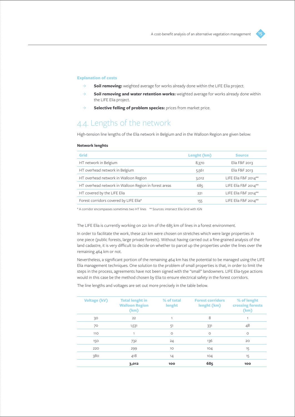#### **Explanation of costs**

- $\rightarrow$  **Soil removing:** weighted average for works already done within the LIFE Elia project.
- ȝ **Soil removing and water retention works:** weighted average for works already done within the LIFE Elia project.
- ȝ **Selective felling of problem species:** prices from market price.

## 4.4. Lengths of the network

High-tension line lengths of the Elia network in Belgium and in the Walloon Region are given below:

#### **Network lenghts**

| Grid                                                  | Lenght (km) | <b>Source</b>        |
|-------------------------------------------------------|-------------|----------------------|
| HT network in Belgium                                 | 8,370       | Elia F&F 2013        |
| HT overhead network in Belgium                        | 5,561       | Elia F&F 2013        |
| HT overhead network in Walloon Region                 | 3,012       | LIFE Elia F&F 2014** |
| HT overhead network in Walloon Region in forest areas | 685         | LIFE Elia F&F 2014** |
| HT covered by the LIFE Elia                           | 221         | LIFE Elia F&F 2014** |
| Forest corridors covered by LIFE Elia*                | 155         | LIFE Elia F&F 2014** |
|                                                       |             |                      |

\* A corridor encompasses sometimes two HT lines \*\* Sources: intersect Elia Grid with IGN

#### The LIFE Elia is currently working on 221 km of the 685 km of lines in a forest environment.

In order to facilitate the work, these 221 km were chosen on stretches which were large properties in one piece (public forests, large private forests). Without having carried out a fine-grained analysis of the land cadastre, it is very difficult to decide on whether to parcel up the properties under the lines over the remaining 464 km or not.

Nevertheless, a significant portion of the remaining 464 km has the potential to be managed using the LIFE Elia management techniques. One solution to the problem of small properties is that, in order to limit the steps in the process, agreements have not been signed with the "small" landowners. LIFE Elia-type actions would in this case be the method chosen by Elia to ensure electrical safety in the forest corridors.

The line lengths and voltages are set out more precisely in the table below.

| <b>Voltage (kV)</b> | <b>Total lenght in</b><br><b>Walloon Region</b><br>(km) | % of total<br>lenght | <b>Forest corridors</b><br>lenght (km) | % of lenght<br><b>crossing forests</b><br>(km) |
|---------------------|---------------------------------------------------------|----------------------|----------------------------------------|------------------------------------------------|
| 30                  | 22                                                      | 1                    | 8                                      | 1                                              |
| 70                  | 1,531                                                   | 51                   | 331                                    | 48                                             |
| 110                 | 1                                                       | $\circ$              | $\circ$                                | $\circ$                                        |
| 150                 | 732                                                     | 24                   | 136                                    | 20                                             |
| 220                 | 299                                                     | 10                   | 104                                    | 15                                             |
| 380                 | 418                                                     | 14                   | 104                                    | 15                                             |
|                     | 3,012                                                   | 100                  | 685                                    | 100                                            |

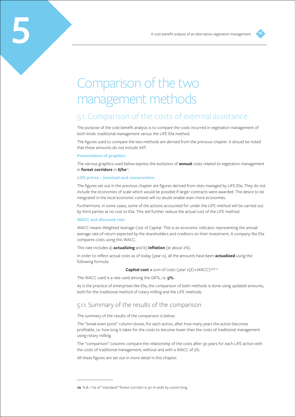

## Comparison of the two management methods

## 5.1. Comparison of the costs of external assistance

The purpose of the cost-benefit analysis is to compare the costs incurred in vegetation management of both kinds: traditional management versus the LIFE Elia method.

The figures used to compare the two methods are derived from the previous chapter. It should be noted that these amounts do not include VAT.

#### **Presentation of graphics**

**5**

The various graphics used below express the evolution of **annual** costs related to vegetation management in **forest corridors** in €/ha<sup>10</sup>.

#### **LIFE prices – invoiced and conservative**

The figures set out in the previous chapter are figures derived from sites managed by LIFE Elia. They do not include the economies of scale which would be possible if larger contracts were awarded. The desire to be integrated in the local economic context will no doubt enable even more economies.

Furthermore, in some cases, some of the actions accounted for under the LIFE method will be carried out by third parties at no cost to Elia. This will further reduce the actual cost of the LIFE method.

#### **WACC and discount rate**

WACC means Weighted Average Cost of Capital. This is an economic indicator representing the annual average rate of return expected by the shareholders and creditors on their investment. A company like Elia compares costs using this WACC.

This rate includes a) **actualizing** and b) **inflation** (at about 2%).

In order to reflect actual costs as of today (year 0), all the amounts have been **actualized** using the following formula:

**Capital cost =** *sum of costs (year x)*/ $(1+WACC)^{(year/x)}$ 

The WACC used is a rate used among the GRTs, i.e. **5%.**

As is the practice of enterprises like Elia, the comparison of both methods is done using updated amounts, both for the traditional method of rotary milling and the LIFE methods.

## 5.1.1. Summary of the results of the comparison

The summary of the results of the comparison is below:

The "break-even point" column shows, for each action, after how many years the action becomes profitable, i.e. how long it takes for the costs to become lower than the costs of traditional management using rotary milling.

The "comparison" columns compare the relationship of the costs after 30 years for each LIFE action with the costs of traditional management, without and with a WACC of 5%.

All these figures are set out in more detail in this chapter.

**<sup>10</sup>** N.B. 1 ha of "standard" forest corridor is 50 m wide by 200m long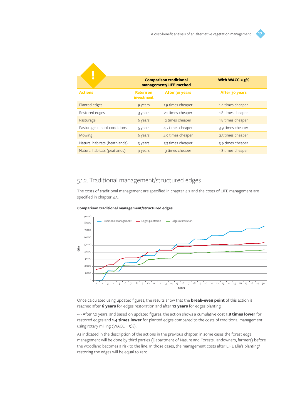|                               |                                       | <b>Comparison traditional</b><br>management/LIFE method | With WACC = $5\%$ |
|-------------------------------|---------------------------------------|---------------------------------------------------------|-------------------|
| <b>Actions</b>                | <b>Return on</b><br><i>investment</i> | After 30 years                                          | After 30 years    |
| Planted edges                 | 9 years                               | 1.9 times cheaper                                       | 1.4 times cheaper |
| Restored edges                | 3 years                               | 2.1 times cheaper                                       | 1.8 times cheaper |
| Pasturage                     | 6 years                               | 2 times cheaper                                         | 1.8 times cheaper |
| Pasturage in hard conditions  | 5 years                               | 4.7 times cheaper                                       | 3.9 times cheaper |
| <b>Mowing</b>                 | 6 years                               | 4.9 times cheaper                                       | 2.5 times cheaper |
| Natural habitats (heathlands) | 3 years                               | 5.3 times cheaper                                       | 3.9 times cheaper |
| Natural habitats (peatlands)  | 9 years                               | 3 times cheaper                                         | 1.8 times cheaper |

## 5.1.2. Traditional management/structured edges

The costs of traditional management are specified in chapter 4.2 and the costs of LIFE management are specified in chapter 4.3.



**Comparison traditional management/structured edges**

Once calculated using updated figures, the results show that the **break-even point** of this action is reached after **6 years** for edges restoration and after **12 years** for edges planting.

--> After 30 years, and based on updated figures, the action shows a cumulative cost **1.8 times lower** for restored edges and **1.4 times lower** for planted edges compared to the costs of traditional management using rotary milling (WACC =  $5\%$ ).

As indicated in the description of the actions in the previous chapter, in some cases the forest edge management will be done by third parties (Department of Nature and Forests, landowners, farmers) before the woodland becomes a risk to the line. In those cases, the management costs after LIFE Elia's planting/ restoring the edges will be equal to zero.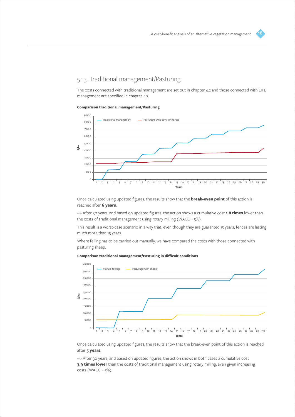

The costs connected with traditional management are set out in chapter 4.2 and those connected with LIFE management are specified in chapter 4.3.

#### **Comparison traditional management/Pasturing**



Once calculated using updated figures, the results show that the **break-even point** of this action is reached after **6 years**.

--> After 30 years, and based on updated figures, the action shows a cumulative cost **1.8 times** lower than the costs of traditional management using rotary milling (WACC =  $5\%$ ).

This result is a worst-case scenario in a way that, even though they are guaranted 15 years, fences are lasting much more than 15 years.

Where felling has to be carried out manually, we have compared the costs with those connected with pasturing sheep.





Once calculated using updated figures, the results show that the break-even point of this action is reached after **5 years**.

--> After 30 years, and based on updated figures, the action shows in both cases a cumulative cost **3.9 times lower** than the costs of traditional management using rotary milling, even given increasing costs (WACC =  $5\%$ ).

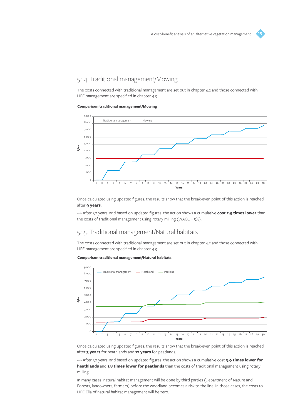## 5.1.4. Traditional management/Mowing

The costs connected with traditional management are set out in chapter 4.2 and those connected with LIFE management are specified in chapter 4.3.

#### **Comparison traditional management/Mowing**



Once calculated using updated figures, the results show that the break-even point of this action is reached after **9 years**.

--> After 30 years, and based on updated figures, the action shows a cumulative **cost 2.5 times lower** than the costs of traditional management using rotary milling (WACC =  $5\%$ ).

### 5.1.5. Traditional management/Natural habitats

The costs connected with traditional management are set out in chapter 4.2 and those connected with LIFE management are specified in chapter 4.3.

#### **Comparison traditional management/Natural habitats**



Once calculated using updated figures, the results show that the break-even point of this action is reached after **3 years** for heathlands and **12 years** for peatlands.

--> After 30 years, and based on updated figures, the action shows a cumulative cost **3.9 times lower for heathlands** and **1.8 times lower for peatlands** than the costs of traditional management using rotary milling.

In many cases, natural habitat management will be done by third parties (Department of Nature and Forests, landowners, farmers) before the woodland becomes a risk to the line. In those cases, the costs to LIFE Elia of natural habitat management will be zero.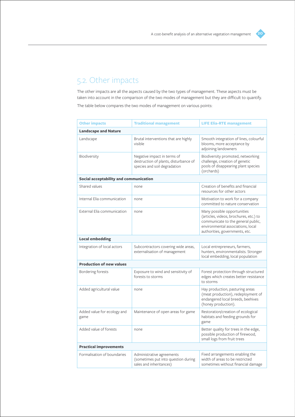

## 5.2. Other impacts

The other impacts are all the aspects caused by the two types of management. These aspects must be taken into account in the comparison of the two modes of management but they are difficult to quantify. The table below compares the two modes of management on various points:

| <b>Traditional management</b><br><b>Other impacts</b> |                                                                                                      | <b>LIFE Elia-RTE management</b>                                                                                                                                                    |  |  |  |
|-------------------------------------------------------|------------------------------------------------------------------------------------------------------|------------------------------------------------------------------------------------------------------------------------------------------------------------------------------------|--|--|--|
| <b>Landscape and Nature</b>                           |                                                                                                      |                                                                                                                                                                                    |  |  |  |
| Landscape                                             | Brutal interventions that are highly<br>visible                                                      | Smooth integration of lines, colourful<br>blooms, more acceptance by<br>adjoining landowners                                                                                       |  |  |  |
| Biodiversity                                          | Negative impact in terms of<br>destruction of plants, disturbance of<br>species and soil degradation | Biodiversity promoted, networking<br>challenge, creation of genetic<br>pools of disappearing plant species<br>(orchards)                                                           |  |  |  |
| Social acceptability and communication                |                                                                                                      |                                                                                                                                                                                    |  |  |  |
| Shared values                                         | none                                                                                                 | Creation of benefits and financial<br>resources for other actors                                                                                                                   |  |  |  |
| Internal Elia communication                           | none                                                                                                 | Motivation to work for a company<br>committed to nature conservation                                                                                                               |  |  |  |
| External Elia communication                           | none                                                                                                 | Many possible opportunities<br>(articles, videos, brochures, etc.) to<br>communicate to the general public,<br>environmental associations, local<br>authorities, governments, etc. |  |  |  |
| <b>Local embedding</b>                                |                                                                                                      |                                                                                                                                                                                    |  |  |  |
| Integration of local actors                           | Subcontractors covering wide areas,<br>externalisation of management                                 | Local entrepreneurs, farmers,<br>hunters, environmentalists. Stronger<br>local embedding, local population                                                                         |  |  |  |
| <b>Production of new values</b>                       |                                                                                                      |                                                                                                                                                                                    |  |  |  |
| Bordering forests                                     | Exposure to wind and sensitivity of<br>forests to storms                                             | Forest protection through structured<br>edges which creates better resistance<br>to storms                                                                                         |  |  |  |
| Added agricultural value                              | none                                                                                                 | Hay production, pasturing areas<br>(meat production), redeployment of<br>endangered local breeds, beehives<br>(honey production).                                                  |  |  |  |
| Added value for ecology and<br>game                   | Maintenance of open areas for game                                                                   | Restoration/creation of ecological<br>habitats and feeding grounds for<br>game                                                                                                     |  |  |  |
| Added value of forests                                | none                                                                                                 | Better quality for trees in the edge,<br>possible production of firewood,<br>small logs from fruit trees                                                                           |  |  |  |
| <b>Practical improvements</b>                         |                                                                                                      |                                                                                                                                                                                    |  |  |  |
| Formalisation of boundaries                           | Administrative agreements<br>(sometimes put into question during<br>sales and inheritances)          | Fixed arrangements enabling the<br>width of areas to be restricted<br>sometimes without financial damage                                                                           |  |  |  |
|                                                       |                                                                                                      |                                                                                                                                                                                    |  |  |  |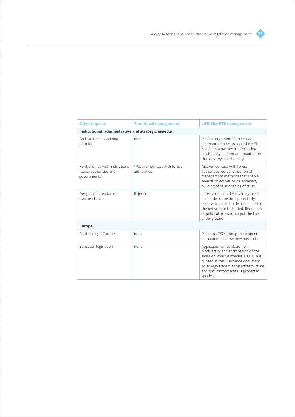

| <b>Other impacts</b><br><b>Traditional management</b>                     |                                              | <b>LIFE Elia-RTE management</b>                                                                                                                                                                                                              |  |  |  |  |
|---------------------------------------------------------------------------|----------------------------------------------|----------------------------------------------------------------------------------------------------------------------------------------------------------------------------------------------------------------------------------------------|--|--|--|--|
| Institutional, administrative and strategic aspects                       |                                              |                                                                                                                                                                                                                                              |  |  |  |  |
| Facilitation in obtaining<br>permits                                      | none                                         | Positive argument if presented<br>upstream of new project, since Elia<br>is seen as a partner in promoting<br>biodiversity and not an organisation<br>that destroys biodiversity                                                             |  |  |  |  |
| Relationships with institutions<br>(Local authorities and<br>governments) | "Passive" contact with forest<br>authorities | "active" contact with forest<br>authorities, co-construction of<br>management methods that enable<br>several objectives to be achieved,<br>building of relationships of trust                                                                |  |  |  |  |
| Design and creation of<br>overhead lines                                  | Rejection                                    | Improved due to biodiversity areas<br>and at the same time potentially<br>positive impacts on the demands for<br>the network to be buried. Reduction<br>of political pressure to put the lines<br>underground                                |  |  |  |  |
| <b>Europe</b>                                                             |                                              |                                                                                                                                                                                                                                              |  |  |  |  |
| Positioning in Europe                                                     | none                                         | Positions TSO among the pioneer<br>companies of these new methods                                                                                                                                                                            |  |  |  |  |
| European legislation                                                      | none                                         | Application of legislation on<br>biodiversity and anticipation of the<br>same on invasive species. LIFE Elia is<br>quoted in the "Guidance document<br>on energy transmission infrastructure<br>and Natura2000 and EU protected<br>species". |  |  |  |  |

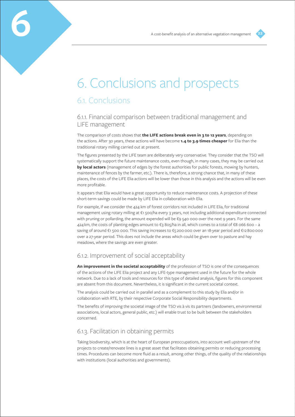

## 6. Conclusions and prospects

## 6.1. Conclusions

**6**

## 6.1.1. Financial comparison between traditional management and LIFE management

The comparison of costs shows that **the LIFE actions break even in 3 to 12 years**, depending on the actions. After 30 years, these actions will have become **1.4 to 3.9 times cheaper** for Elia than the traditional rotary milling carried out at present.

The figures presented by the LIFE team are deliberately very conservative. They consider that the TSO will systematically support the future maintenance costs, even though, in many cases, they may be carried out **by local actors** (management of edges by the forest authorities for public forests, mowing by hunters, maintenance of fences by the farmer, etc.). There is, therefore, a strong chance that, in many of these places, the costs of the LIFE Elia actions will be lower than those in this analysis and the actions will be even more profitable.

It appears that Elia would have a great opportunity to reduce maintenance costs. A projection of these short-term savings could be made by LIFE Elia in collaboration with Elia.

For example, if we consider the 424 km of forest corridors not included in LIFE Elia, for traditional management using rotary milling at €1 500/ha every 3 years, not including additional expenditure connected with pruning or pollarding, the amount expended will be €9 540 000 over the next 9 years. For the same 424 km, the costs of planting edges amount to €3 805/ha in all, which comes to a total of €8 066 600 – a saving of around €1 500 000. This saving increases to €5 200 000 over an 18-year period and €12 800 000 over a 27-year period. This does not include the areas which could be given over to pasture and hay meadows, where the savings are even greater.

## 6.1.2. Improvement of social acceptability

**An improvement in the societal acceptability** of the profession of TSO is one of the consequences of the actions of the LIFE Elia project and any LIFE-type management used in the future for the whole network. Due to a lack of tools and resources for this type of detailed analysis, figures for this component are absent from this document. Nevertheless, it is significant in the current societal context.

The analysis could be carried out in parallel and as a complement to this study by Elia and/or in collaboration with RTE, by their respective Corporate Social Responsibility departments.

The benefits of improving the societal image of the TSO vis à vis its partners (landowners, environmental associations, local actors, general public, etc.) will enable trust to be built between the stakeholders concerned.

### 6.1.3. Facilitation in obtaining permits

Taking biodiversity, which is at the heart of European preoccupations, into account well upstream of the projects to create/renovate lines is a great asset that facilitates obtaining permits or reducing processing times. Procedures can become more fluid as a result, among other things, of the quality of the relationships with institutions (local authorities and governments).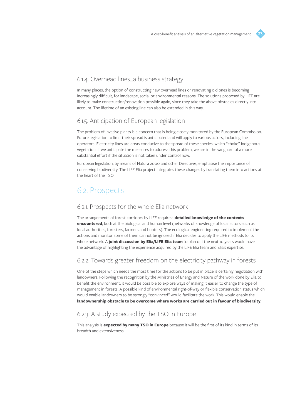

## 6.1.4. Overhead lines…a business strategy

In many places, the option of constructing new overhead lines or renovating old ones is becoming increasingly difficult, for landscape, social or environmental reasons. The solutions proposed by LIFE are likely to make construction/renovation possible again, since they take the above obstacles directly into account. The lifetime of an existing line can also be extended in this way.

### 6.1.5. Anticipation of European legislation

The problem of invasive plants is a concern that is being closely monitored by the European Commission. Future legislation to limit their spread is anticipated and will apply to various actors, including line operators. Electricity lines are areas conducive to the spread of these species, which "choke" indigenous vegetation. If we anticipate the measures to address this problem, we are in the vanguard of a more substantial effort if the situation is not taken under control now.

European legislation, by means of Natura 2000 and other Directives, emphasise the importance of conserving biodiversity. The LIFE Elia project integrates these changes by translating them into actions at the heart of the TSO.

## 6.2. Prospects

### 6.2.1. Prospects for the whole Elia network

The arrangements of forest corridors by LIFE require a **detailed knowledge of the contexts encountered**, both at the biological and human level (networks of knowledge of local actors such as local authorities, foresters, farmers and hunters). The ecological engineering required to implement the actions and monitor some of them cannot be ignored if Elia decides to apply the LIFE methods to its whole network. A **joint discussion by Elia/LIFE Elia team** to plan out the next 10 years would have the advantage of highlighting the experience acquired by the LIFE Elia team and Elia's expertise.

## 6.2.2. Towards greater freedom on the electricity pathway in forests

One of the steps which needs the most time for the actions to be put in place is certainly negotiation with landowners. Following the recognition by the Ministries of Energy and Nature of the work done by Elia to benefit the environment, it would be possible to explore ways of making it easier to change the type of management in forests. A possible kind of environmental right-of-way or flexible conservation status which would enable landowners to be strongly "convinced" would facilitate the work. This would enable the **landownership obstacle to be overcome where works are carried out in favour of biodiversity**.

## 6.2.3. A study expected by the TSO in Europe

This analysis is **expected by many TSO in Europe** because it will be the first of its kind in terms of its breadth and extensiveness.